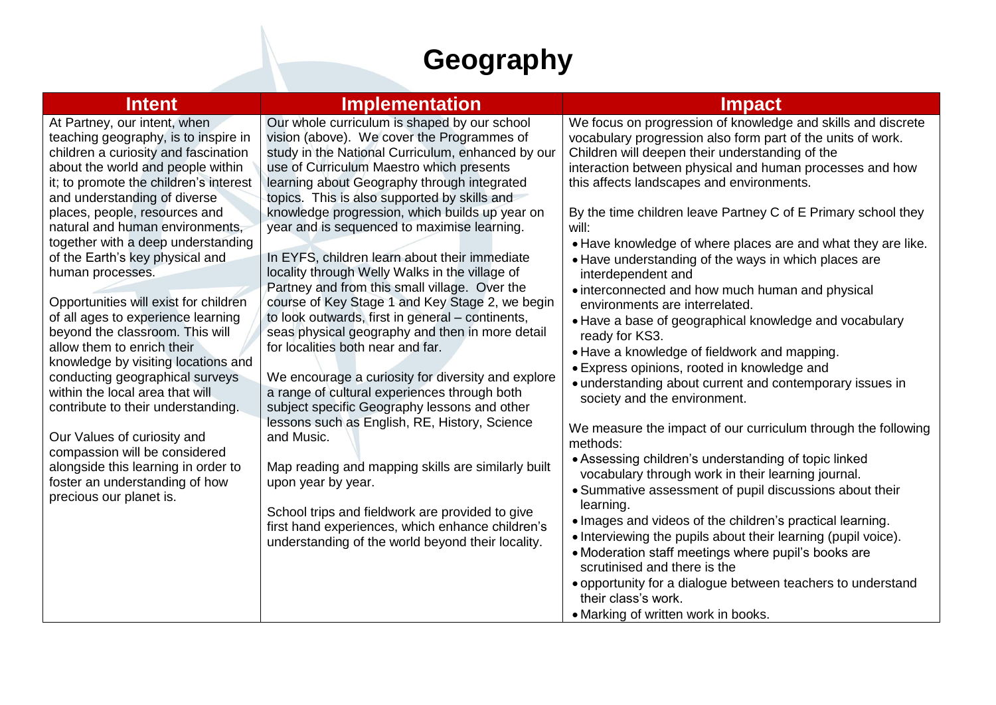## **Geography**

| <b>Intent</b>                                                                                                                                                                                                                                                                                                                                                                                                                                                                                                                                                                                                                                                                                                                                                                                                                                                       | <b>Implementation</b>                                                                                                                                                                                                                                                                                                                                                                                                                                                                                                                                                                                                                                                                                                                                                                                                                                                                                                                                                                                                                                                                                                                                                                                       | <b>Impact</b>                                                                                                                                                                                                                                                                                                                                                                                                                                                                                                                                                                                                                                                                                                                                                                                                                                                                                                                                                                                                                                                                                                                                                                                                                                                                                                                                                                                                                                                                                     |
|---------------------------------------------------------------------------------------------------------------------------------------------------------------------------------------------------------------------------------------------------------------------------------------------------------------------------------------------------------------------------------------------------------------------------------------------------------------------------------------------------------------------------------------------------------------------------------------------------------------------------------------------------------------------------------------------------------------------------------------------------------------------------------------------------------------------------------------------------------------------|-------------------------------------------------------------------------------------------------------------------------------------------------------------------------------------------------------------------------------------------------------------------------------------------------------------------------------------------------------------------------------------------------------------------------------------------------------------------------------------------------------------------------------------------------------------------------------------------------------------------------------------------------------------------------------------------------------------------------------------------------------------------------------------------------------------------------------------------------------------------------------------------------------------------------------------------------------------------------------------------------------------------------------------------------------------------------------------------------------------------------------------------------------------------------------------------------------------|---------------------------------------------------------------------------------------------------------------------------------------------------------------------------------------------------------------------------------------------------------------------------------------------------------------------------------------------------------------------------------------------------------------------------------------------------------------------------------------------------------------------------------------------------------------------------------------------------------------------------------------------------------------------------------------------------------------------------------------------------------------------------------------------------------------------------------------------------------------------------------------------------------------------------------------------------------------------------------------------------------------------------------------------------------------------------------------------------------------------------------------------------------------------------------------------------------------------------------------------------------------------------------------------------------------------------------------------------------------------------------------------------------------------------------------------------------------------------------------------------|
| At Partney, our intent, when<br>teaching geography, is to inspire in<br>children a curiosity and fascination<br>about the world and people within<br>it; to promote the children's interest<br>and understanding of diverse<br>places, people, resources and<br>natural and human environments,<br>together with a deep understanding<br>of the Earth's key physical and<br>human processes.<br>Opportunities will exist for children<br>of all ages to experience learning<br>beyond the classroom. This will<br>allow them to enrich their<br>knowledge by visiting locations and<br>conducting geographical surveys<br>within the local area that will<br>contribute to their understanding.<br>Our Values of curiosity and<br>compassion will be considered<br>alongside this learning in order to<br>foster an understanding of how<br>precious our planet is. | Our whole curriculum is shaped by our school<br>vision (above). We cover the Programmes of<br>study in the National Curriculum, enhanced by our<br>use of Curriculum Maestro which presents<br>learning about Geography through integrated<br>topics. This is also supported by skills and<br>knowledge progression, which builds up year on<br>year and is sequenced to maximise learning.<br>In EYFS, children learn about their immediate<br>locality through Welly Walks in the village of<br>Partney and from this small village. Over the<br>course of Key Stage 1 and Key Stage 2, we begin<br>to look outwards, first in general - continents,<br>seas physical geography and then in more detail<br>for localities both near and far.<br>We encourage a curiosity for diversity and explore<br>a range of cultural experiences through both<br>subject specific Geography lessons and other<br>lessons such as English, RE, History, Science<br>and Music.<br>Map reading and mapping skills are similarly built<br>upon year by year.<br>School trips and fieldwork are provided to give<br>first hand experiences, which enhance children's<br>understanding of the world beyond their locality. | We focus on progression of knowledge and skills and discrete<br>vocabulary progression also form part of the units of work.<br>Children will deepen their understanding of the<br>interaction between physical and human processes and how<br>this affects landscapes and environments.<br>By the time children leave Partney C of E Primary school they<br>will:<br>• Have knowledge of where places are and what they are like.<br>• Have understanding of the ways in which places are<br>interdependent and<br>• interconnected and how much human and physical<br>environments are interrelated.<br>• Have a base of geographical knowledge and vocabulary<br>ready for KS3.<br>• Have a knowledge of fieldwork and mapping.<br>• Express opinions, rooted in knowledge and<br>• understanding about current and contemporary issues in<br>society and the environment.<br>We measure the impact of our curriculum through the following<br>methods:<br>• Assessing children's understanding of topic linked<br>vocabulary through work in their learning journal.<br>• Summative assessment of pupil discussions about their<br>learning.<br>• Images and videos of the children's practical learning.<br>• Interviewing the pupils about their learning (pupil voice).<br>• Moderation staff meetings where pupil's books are<br>scrutinised and there is the<br>• opportunity for a dialogue between teachers to understand<br>their class's work.<br>• Marking of written work in books. |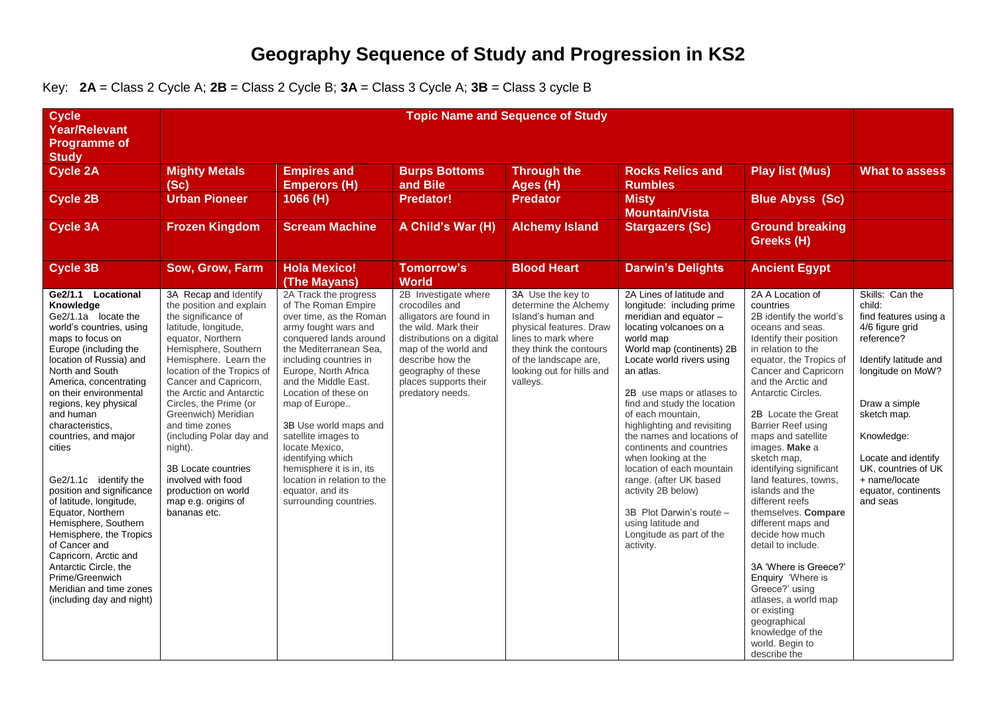## **Geography Sequence of Study and Progression in KS2**

Key: **2A** = Class 2 Cycle A; **2B** = Class 2 Cycle B; **3A** = Class 3 Cycle A; **3B** = Class 3 cycle B

| <b>Cycle</b><br><b>Year/Relevant</b>                                                                                                                                                                                                                                                                                                                                                                                                                                                                                                                                                                                                 | <b>Topic Name and Sequence of Study</b>                                                                                                                                                                                                                                                                                                                                                                                                                                        |                                                                                                                                                                                                                                                                                                                                                                                                                                                                        |                                                                                                                                                                                                                                        |                                                                                                                                                                                                                 |                                                                                                                                                                                                                                                                                                                                                                                                                                                                                                                                                                          |                                                                                                                                                                                                                                                                                                                                                                                                                                                                                                                                                                                                                                                                                                       |                                                                                                                                                                                                                                                                                   |
|--------------------------------------------------------------------------------------------------------------------------------------------------------------------------------------------------------------------------------------------------------------------------------------------------------------------------------------------------------------------------------------------------------------------------------------------------------------------------------------------------------------------------------------------------------------------------------------------------------------------------------------|--------------------------------------------------------------------------------------------------------------------------------------------------------------------------------------------------------------------------------------------------------------------------------------------------------------------------------------------------------------------------------------------------------------------------------------------------------------------------------|------------------------------------------------------------------------------------------------------------------------------------------------------------------------------------------------------------------------------------------------------------------------------------------------------------------------------------------------------------------------------------------------------------------------------------------------------------------------|----------------------------------------------------------------------------------------------------------------------------------------------------------------------------------------------------------------------------------------|-----------------------------------------------------------------------------------------------------------------------------------------------------------------------------------------------------------------|--------------------------------------------------------------------------------------------------------------------------------------------------------------------------------------------------------------------------------------------------------------------------------------------------------------------------------------------------------------------------------------------------------------------------------------------------------------------------------------------------------------------------------------------------------------------------|-------------------------------------------------------------------------------------------------------------------------------------------------------------------------------------------------------------------------------------------------------------------------------------------------------------------------------------------------------------------------------------------------------------------------------------------------------------------------------------------------------------------------------------------------------------------------------------------------------------------------------------------------------------------------------------------------------|-----------------------------------------------------------------------------------------------------------------------------------------------------------------------------------------------------------------------------------------------------------------------------------|
| <b>Programme of</b><br><b>Study</b>                                                                                                                                                                                                                                                                                                                                                                                                                                                                                                                                                                                                  |                                                                                                                                                                                                                                                                                                                                                                                                                                                                                |                                                                                                                                                                                                                                                                                                                                                                                                                                                                        |                                                                                                                                                                                                                                        |                                                                                                                                                                                                                 |                                                                                                                                                                                                                                                                                                                                                                                                                                                                                                                                                                          |                                                                                                                                                                                                                                                                                                                                                                                                                                                                                                                                                                                                                                                                                                       |                                                                                                                                                                                                                                                                                   |
| <b>Cycle 2A</b>                                                                                                                                                                                                                                                                                                                                                                                                                                                                                                                                                                                                                      | <b>Mighty Metals</b><br>(Sc)                                                                                                                                                                                                                                                                                                                                                                                                                                                   | <b>Empires and</b><br><b>Emperors (H)</b>                                                                                                                                                                                                                                                                                                                                                                                                                              | <b>Burps Bottoms</b><br>and Bile                                                                                                                                                                                                       | <b>Through the</b><br>Ages (H)                                                                                                                                                                                  | <b>Rocks Relics and</b><br><b>Rumbles</b>                                                                                                                                                                                                                                                                                                                                                                                                                                                                                                                                | <b>Play list (Mus)</b>                                                                                                                                                                                                                                                                                                                                                                                                                                                                                                                                                                                                                                                                                | <b>What to assess</b>                                                                                                                                                                                                                                                             |
| <b>Cycle 2B</b>                                                                                                                                                                                                                                                                                                                                                                                                                                                                                                                                                                                                                      | <b>Urban Pioneer</b>                                                                                                                                                                                                                                                                                                                                                                                                                                                           | 1066 (H)                                                                                                                                                                                                                                                                                                                                                                                                                                                               | <b>Predator!</b>                                                                                                                                                                                                                       | <b>Predator</b>                                                                                                                                                                                                 | <b>Misty</b><br><b>Mountain/Vista</b>                                                                                                                                                                                                                                                                                                                                                                                                                                                                                                                                    | <b>Blue Abyss (Sc)</b>                                                                                                                                                                                                                                                                                                                                                                                                                                                                                                                                                                                                                                                                                |                                                                                                                                                                                                                                                                                   |
| <b>Cycle 3A</b>                                                                                                                                                                                                                                                                                                                                                                                                                                                                                                                                                                                                                      | <b>Frozen Kingdom</b>                                                                                                                                                                                                                                                                                                                                                                                                                                                          | <b>Scream Machine</b>                                                                                                                                                                                                                                                                                                                                                                                                                                                  | A Child's War (H)                                                                                                                                                                                                                      | <b>Alchemy Island</b>                                                                                                                                                                                           | <b>Stargazers (Sc)</b>                                                                                                                                                                                                                                                                                                                                                                                                                                                                                                                                                   | <b>Ground breaking</b><br>Greeks (H)                                                                                                                                                                                                                                                                                                                                                                                                                                                                                                                                                                                                                                                                  |                                                                                                                                                                                                                                                                                   |
| <b>Cycle 3B</b>                                                                                                                                                                                                                                                                                                                                                                                                                                                                                                                                                                                                                      | Sow, Grow, Farm                                                                                                                                                                                                                                                                                                                                                                                                                                                                | <b>Hola Mexico!</b><br>(The Mayans)                                                                                                                                                                                                                                                                                                                                                                                                                                    | <b>Tomorrow's</b><br><b>World</b>                                                                                                                                                                                                      | <b>Blood Heart</b>                                                                                                                                                                                              | <b>Darwin's Delights</b>                                                                                                                                                                                                                                                                                                                                                                                                                                                                                                                                                 | <b>Ancient Egypt</b>                                                                                                                                                                                                                                                                                                                                                                                                                                                                                                                                                                                                                                                                                  |                                                                                                                                                                                                                                                                                   |
| Ge2/1.1 Locational<br>Knowledge<br>Ge2/1.1a locate the<br>world's countries, using<br>maps to focus on<br>Europe (including the<br>location of Russia) and<br>North and South<br>America, concentrating<br>on their environmental<br>regions, key physical<br>and human<br>characteristics,<br>countries, and major<br>cities<br>Ge2/1.1c identify the<br>position and significance<br>of latitude, longitude,<br>Equator, Northern<br>Hemisphere, Southern<br>Hemisphere, the Tropics<br>of Cancer and<br>Capricorn, Arctic and<br>Antarctic Circle, the<br>Prime/Greenwich<br>Meridian and time zones<br>(including day and night) | 3A Recap and Identify<br>the position and explain<br>the significance of<br>latitude, longitude,<br>equator, Northern<br>Hemisphere, Southern<br>Hemisphere. Learn the<br>location of the Tropics of<br>Cancer and Capricorn,<br>the Arctic and Antarctic<br>Circles, the Prime (or<br>Greenwich) Meridian<br>and time zones<br>(including Polar day and<br>night).<br>3B Locate countries<br>involved with food<br>production on world<br>map e.g. origins of<br>bananas etc. | 2A Track the progress<br>of The Roman Empire<br>over time, as the Roman<br>army fought wars and<br>conquered lands around<br>the Mediterranean Sea,<br>including countries in<br>Europe, North Africa<br>and the Middle East.<br>Location of these on<br>map of Europe<br>3B Use world maps and<br>satellite images to<br>locate Mexico.<br>identifying which<br>hemisphere it is in, its<br>location in relation to the<br>equator, and its<br>surrounding countries. | 2B Investigate where<br>crocodiles and<br>alligators are found in<br>the wild. Mark their<br>distributions on a digital<br>map of the world and<br>describe how the<br>geography of these<br>places supports their<br>predatory needs. | 3A Use the key to<br>determine the Alchemy<br>Island's human and<br>physical features. Draw<br>lines to mark where<br>they think the contours<br>of the landscape are,<br>looking out for hills and<br>valleys. | 2A Lines of latitude and<br>longitude: including prime<br>meridian and equator -<br>locating volcanoes on a<br>world map<br>World map (continents) 2B<br>Locate world rivers using<br>an atlas.<br>2B use maps or atlases to<br>find and study the location<br>of each mountain,<br>highlighting and revisiting<br>the names and locations of<br>continents and countries<br>when looking at the<br>location of each mountain<br>range. (after UK based<br>activity 2B below)<br>3B Plot Darwin's route -<br>using latitude and<br>Longitude as part of the<br>activity. | 2A A Location of<br>countries<br>2B identify the world's<br>oceans and seas.<br>Identify their position<br>in relation to the<br>equator, the Tropics of<br>Cancer and Capricorn<br>and the Arctic and<br>Antarctic Circles.<br>2B Locate the Great<br><b>Barrier Reef using</b><br>maps and satellite<br>images. Make a<br>sketch map,<br>identifying significant<br>land features, towns,<br>islands and the<br>different reefs<br>themselves. Compare<br>different maps and<br>decide how much<br>detail to include.<br>3A 'Where is Greece?'<br>Enquiry 'Where is<br>Greece?' using<br>atlases, a world map<br>or existing<br>qeographical<br>knowledge of the<br>world. Begin to<br>describe the | Skills: Can the<br>child:<br>find features using a<br>4/6 figure grid<br>reference?<br>Identify latitude and<br>longitude on MoW?<br>Draw a simple<br>sketch map.<br>Knowledge:<br>Locate and identify<br>UK. countries of UK<br>+ name/locate<br>equator, continents<br>and seas |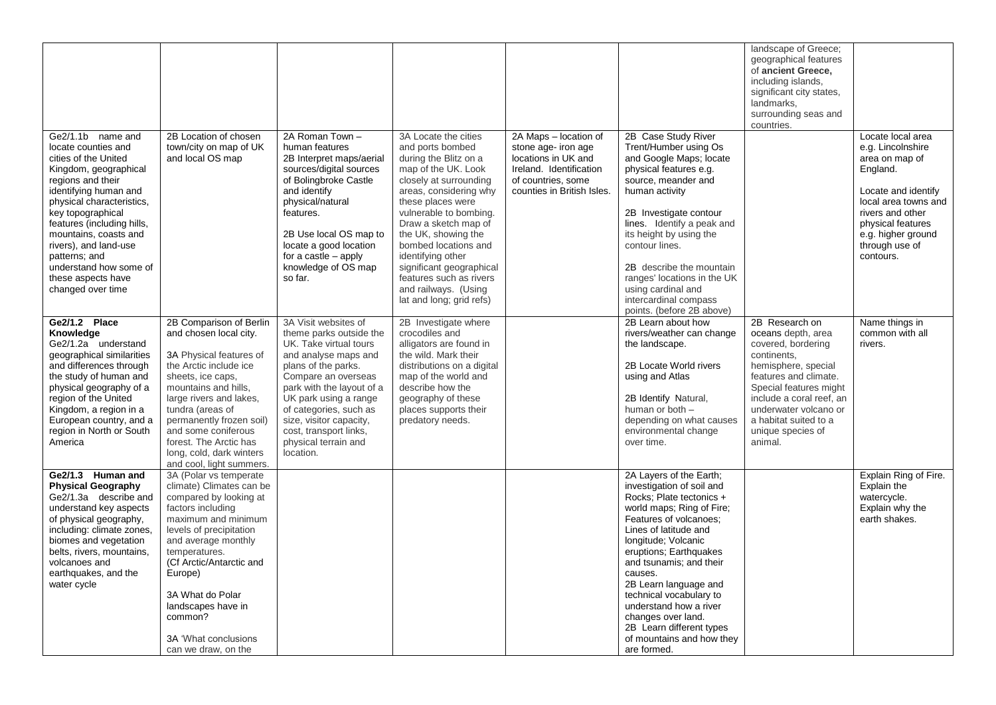| Ge2/1.1b name and                                                                                                                                                                                                                                                                                                                          | 2B Location of chosen                                                                                                                                                                                                                                                                                                                          | 2A Roman Town -                                                                                                                                                                                                                                                                                                           | 3A Locate the cities                                                                                                                                                                                                                                                                                                                                                       | 2A Maps - location of                                                                                                     | 2B Case Study River                                                                                                                                                                                                                                                                                                                                                                                                                 | landscape of Greece;<br>geographical features<br>of ancient Greece,<br>including islands,<br>significant city states,<br>landmarks,<br>surrounding seas and<br>countries.                                                                                         | Locate local area                                                                                                                                                                            |
|--------------------------------------------------------------------------------------------------------------------------------------------------------------------------------------------------------------------------------------------------------------------------------------------------------------------------------------------|------------------------------------------------------------------------------------------------------------------------------------------------------------------------------------------------------------------------------------------------------------------------------------------------------------------------------------------------|---------------------------------------------------------------------------------------------------------------------------------------------------------------------------------------------------------------------------------------------------------------------------------------------------------------------------|----------------------------------------------------------------------------------------------------------------------------------------------------------------------------------------------------------------------------------------------------------------------------------------------------------------------------------------------------------------------------|---------------------------------------------------------------------------------------------------------------------------|-------------------------------------------------------------------------------------------------------------------------------------------------------------------------------------------------------------------------------------------------------------------------------------------------------------------------------------------------------------------------------------------------------------------------------------|-------------------------------------------------------------------------------------------------------------------------------------------------------------------------------------------------------------------------------------------------------------------|----------------------------------------------------------------------------------------------------------------------------------------------------------------------------------------------|
| locate counties and<br>cities of the United<br>Kingdom, geographical<br>regions and their<br>identifying human and<br>physical characteristics,<br>key topographical<br>features (including hills,<br>mountains, coasts and<br>rivers), and land-use<br>patterns; and<br>understand how some of<br>these aspects have<br>changed over time | town/city on map of UK<br>and local OS map                                                                                                                                                                                                                                                                                                     | human features<br>2B Interpret maps/aerial<br>sources/digital sources<br>of Bolingbroke Castle<br>and identify<br>physical/natural<br>features.<br>2B Use local OS map to<br>locate a good location<br>for a castle $-$ apply<br>knowledge of OS map<br>so far.                                                           | and ports bombed<br>during the Blitz on a<br>map of the UK. Look<br>closely at surrounding<br>areas, considering why<br>these places were<br>vulnerable to bombing.<br>Draw a sketch map of<br>the UK, showing the<br>bombed locations and<br>identifying other<br>significant geographical<br>features such as rivers<br>and railways. (Using<br>lat and long; grid refs) | stone age- iron age<br>locations in UK and<br>Ireland. Identification<br>of countries, some<br>counties in British Isles. | Trent/Humber using Os<br>and Google Maps; locate<br>physical features e.g.<br>source, meander and<br>human activity<br>2B Investigate contour<br>lines. Identify a peak and<br>its height by using the<br>contour lines.<br>2B describe the mountain<br>ranges' locations in the UK<br>using cardinal and<br>intercardinal compass<br>points. (before 2B above)                                                                     |                                                                                                                                                                                                                                                                   | e.g. Lincolnshire<br>area on map of<br>England.<br>Locate and identify<br>local area towns and<br>rivers and other<br>physical features<br>e.g. higher ground<br>through use of<br>contours. |
| Ge2/1.2 Place<br>Knowledge<br>Ge2/1.2a understand<br>geographical similarities<br>and differences through<br>the study of human and<br>physical geography of a<br>region of the United<br>Kingdom, a region in a<br>European country, and a<br>region in North or South<br>America                                                         | 2B Comparison of Berlin<br>and chosen local city.<br>3A Physical features of<br>the Arctic include ice<br>sheets, ice caps,<br>mountains and hills,<br>large rivers and lakes,<br>tundra (areas of<br>permanently frozen soil)<br>and some coniferous<br>forest. The Arctic has<br>long, cold, dark winters<br>and cool, light summers.        | 3A Visit websites of<br>theme parks outside the<br>UK. Take virtual tours<br>and analyse maps and<br>plans of the parks.<br>Compare an overseas<br>park with the layout of a<br>UK park using a range<br>of categories, such as<br>size, visitor capacity,<br>cost, transport links,<br>physical terrain and<br>location. | 2B Investigate where<br>crocodiles and<br>alligators are found in<br>the wild. Mark their<br>distributions on a digital<br>map of the world and<br>describe how the<br>geography of these<br>places supports their<br>predatory needs.                                                                                                                                     |                                                                                                                           | 2B Learn about how<br>rivers/weather can change<br>the landscape.<br>2B Locate World rivers<br>using and Atlas<br>2B Identify Natural,<br>human or both -<br>depending on what causes<br>environmental change<br>over time.                                                                                                                                                                                                         | 2B Research on<br>oceans depth, area<br>covered, bordering<br>continents.<br>hemisphere, special<br>features and climate.<br>Special features might<br>include a coral reef, an<br>underwater volcano or<br>a habitat suited to a<br>unique species of<br>animal. | Name things in<br>common with all<br>rivers.                                                                                                                                                 |
| Ge2/1.3 Human and<br><b>Physical Geography</b><br>Ge2/1.3a describe and<br>understand key aspects<br>of physical geography,<br>including: climate zones,<br>biomes and vegetation<br>belts, rivers, mountains,<br>volcanoes and<br>earthquakes, and the<br>water cycle                                                                     | 3A (Polar vs temperate<br>climate) Climates can be<br>compared by looking at<br>factors including<br>maximum and minimum<br>levels of precipitation<br>and average monthly<br>temperatures.<br>(Cf Arctic/Antarctic and<br>Europe)<br>3A What do Polar<br>landscapes have in<br>common?<br><b>3A 'What conclusions'</b><br>can we draw, on the |                                                                                                                                                                                                                                                                                                                           |                                                                                                                                                                                                                                                                                                                                                                            |                                                                                                                           | 2A Layers of the Earth;<br>investigation of soil and<br>Rocks; Plate tectonics +<br>world maps; Ring of Fire;<br>Features of volcanoes:<br>Lines of latitude and<br>Iongitude; Volcanic<br>eruptions; Earthquakes<br>and tsunamis; and their<br>causes.<br>2B Learn language and<br>technical vocabulary to<br>understand how a river<br>changes over land.<br>2B Learn different types<br>of mountains and how they<br>are formed. |                                                                                                                                                                                                                                                                   | Explain Ring of Fire.<br>Explain the<br>watercycle.<br>Explain why the<br>earth shakes.                                                                                                      |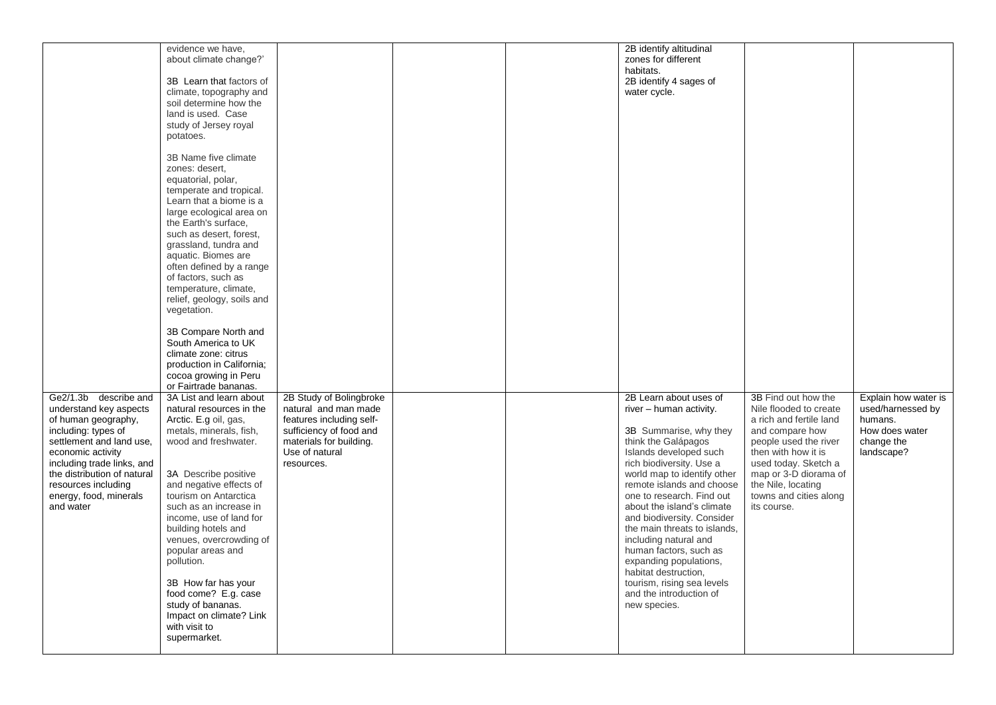|                             | evidence we have,          |                          |  | 2B identify altitudinal      |                         |                      |
|-----------------------------|----------------------------|--------------------------|--|------------------------------|-------------------------|----------------------|
|                             |                            |                          |  |                              |                         |                      |
|                             | about climate change?'     |                          |  | zones for different          |                         |                      |
|                             |                            |                          |  | habitats.                    |                         |                      |
|                             | 3B Learn that factors of   |                          |  | 2B identify 4 sages of       |                         |                      |
|                             | climate, topography and    |                          |  | water cycle.                 |                         |                      |
|                             | soil determine how the     |                          |  |                              |                         |                      |
|                             |                            |                          |  |                              |                         |                      |
|                             | land is used. Case         |                          |  |                              |                         |                      |
|                             | study of Jersey royal      |                          |  |                              |                         |                      |
|                             | potatoes.                  |                          |  |                              |                         |                      |
|                             |                            |                          |  |                              |                         |                      |
|                             | 3B Name five climate       |                          |  |                              |                         |                      |
|                             |                            |                          |  |                              |                         |                      |
|                             | zones: desert.             |                          |  |                              |                         |                      |
|                             | equatorial, polar,         |                          |  |                              |                         |                      |
|                             | temperate and tropical.    |                          |  |                              |                         |                      |
|                             | Learn that a biome is a    |                          |  |                              |                         |                      |
|                             | large ecological area on   |                          |  |                              |                         |                      |
|                             |                            |                          |  |                              |                         |                      |
|                             | the Earth's surface,       |                          |  |                              |                         |                      |
|                             | such as desert, forest,    |                          |  |                              |                         |                      |
|                             | grassland, tundra and      |                          |  |                              |                         |                      |
|                             | aquatic. Biomes are        |                          |  |                              |                         |                      |
|                             | often defined by a range   |                          |  |                              |                         |                      |
|                             | of factors, such as        |                          |  |                              |                         |                      |
|                             |                            |                          |  |                              |                         |                      |
|                             | temperature, climate,      |                          |  |                              |                         |                      |
|                             | relief, geology, soils and |                          |  |                              |                         |                      |
|                             | vegetation.                |                          |  |                              |                         |                      |
|                             |                            |                          |  |                              |                         |                      |
|                             | 3B Compare North and       |                          |  |                              |                         |                      |
|                             |                            |                          |  |                              |                         |                      |
|                             | South America to UK        |                          |  |                              |                         |                      |
|                             | climate zone: citrus       |                          |  |                              |                         |                      |
|                             | production in California;  |                          |  |                              |                         |                      |
|                             | cocoa growing in Peru      |                          |  |                              |                         |                      |
|                             | or Fairtrade bananas.      |                          |  |                              |                         |                      |
|                             |                            |                          |  |                              |                         |                      |
| Ge2/1.3b describe and       | 3A List and learn about    | 2B Study of Bolingbroke  |  | 2B Learn about uses of       | 3B Find out how the     | Explain how water is |
| understand key aspects      | natural resources in the   | natural and man made     |  | river - human activity.      | Nile flooded to create  | used/harnessed by    |
| of human geography,         | Arctic. E.g oil, gas,      | features including self- |  |                              | a rich and fertile land | humans.              |
| including: types of         | metals, minerals, fish,    | sufficiency of food and  |  | 3B Summarise, why they       | and compare how         | How does water       |
| settlement and land use,    | wood and freshwater.       | materials for building.  |  | think the Galápagos          | people used the river   | change the           |
|                             |                            |                          |  |                              |                         |                      |
| economic activity           |                            | Use of natural           |  | Islands developed such       | then with how it is     | landscape?           |
| including trade links, and  |                            | resources.               |  | rich biodiversity. Use a     | used today. Sketch a    |                      |
| the distribution of natural | 3A Describe positive       |                          |  | world map to identify other  | map or 3-D diorama of   |                      |
| resources including         | and negative effects of    |                          |  | remote islands and choose    | the Nile, locating      |                      |
| energy, food, minerals      | tourism on Antarctica      |                          |  | one to research. Find out    | towns and cities along  |                      |
|                             |                            |                          |  |                              |                         |                      |
| and water                   | such as an increase in     |                          |  | about the island's climate   | its course.             |                      |
|                             | income, use of land for    |                          |  | and biodiversity. Consider   |                         |                      |
|                             | building hotels and        |                          |  | the main threats to islands, |                         |                      |
|                             | venues, overcrowding of    |                          |  | including natural and        |                         |                      |
|                             | popular areas and          |                          |  | human factors, such as       |                         |                      |
|                             |                            |                          |  |                              |                         |                      |
|                             | pollution.                 |                          |  | expanding populations,       |                         |                      |
|                             |                            |                          |  | habitat destruction,         |                         |                      |
|                             | 3B How far has your        |                          |  | tourism, rising sea levels   |                         |                      |
|                             | food come? E.g. case       |                          |  | and the introduction of      |                         |                      |
|                             | study of bananas.          |                          |  | new species.                 |                         |                      |
|                             |                            |                          |  |                              |                         |                      |
|                             | Impact on climate? Link    |                          |  |                              |                         |                      |
|                             | with visit to              |                          |  |                              |                         |                      |
|                             |                            |                          |  |                              |                         |                      |
|                             | supermarket.               |                          |  |                              |                         |                      |
|                             |                            |                          |  |                              |                         |                      |